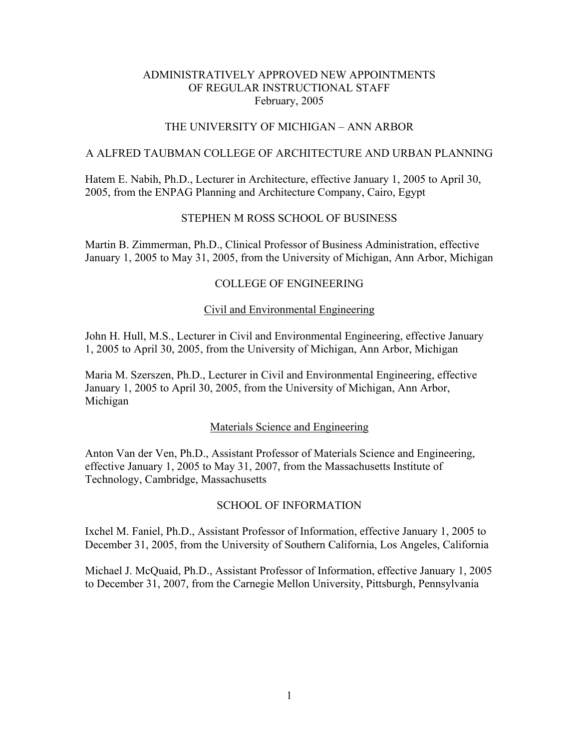## THE UNIVERSITY OF MICHIGAN – ANN ARBOR

#### A ALFRED TAUBMAN COLLEGE OF ARCHITECTURE AND URBAN PLANNING

Hatem E. Nabih, Ph.D., Lecturer in Architecture, effective January 1, 2005 to April 30, 2005, from the ENPAG Planning and Architecture Company, Cairo, Egypt

## STEPHEN M ROSS SCHOOL OF BUSINESS

Martin B. Zimmerman, Ph.D., Clinical Professor of Business Administration, effective January 1, 2005 to May 31, 2005, from the University of Michigan, Ann Arbor, Michigan

### COLLEGE OF ENGINEERING

#### Civil and Environmental Engineering

John H. Hull, M.S., Lecturer in Civil and Environmental Engineering, effective January 1, 2005 to April 30, 2005, from the University of Michigan, Ann Arbor, Michigan

Maria M. Szerszen, Ph.D., Lecturer in Civil and Environmental Engineering, effective January 1, 2005 to April 30, 2005, from the University of Michigan, Ann Arbor, Michigan

#### Materials Science and Engineering

Anton Van der Ven, Ph.D., Assistant Professor of Materials Science and Engineering, effective January 1, 2005 to May 31, 2007, from the Massachusetts Institute of Technology, Cambridge, Massachusetts

### SCHOOL OF INFORMATION

Ixchel M. Faniel, Ph.D., Assistant Professor of Information, effective January 1, 2005 to December 31, 2005, from the University of Southern California, Los Angeles, California

Michael J. McQuaid, Ph.D., Assistant Professor of Information, effective January 1, 2005 to December 31, 2007, from the Carnegie Mellon University, Pittsburgh, Pennsylvania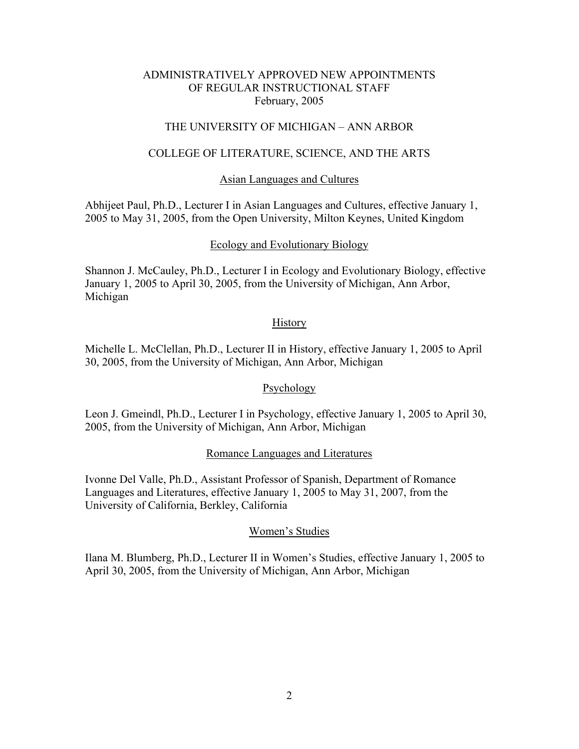# THE UNIVERSITY OF MICHIGAN – ANN ARBOR

### COLLEGE OF LITERATURE, SCIENCE, AND THE ARTS

#### Asian Languages and Cultures

Abhijeet Paul, Ph.D., Lecturer I in Asian Languages and Cultures, effective January 1, 2005 to May 31, 2005, from the Open University, Milton Keynes, United Kingdom

#### Ecology and Evolutionary Biology

Shannon J. McCauley, Ph.D., Lecturer I in Ecology and Evolutionary Biology, effective January 1, 2005 to April 30, 2005, from the University of Michigan, Ann Arbor, Michigan

### **History**

Michelle L. McClellan, Ph.D., Lecturer II in History, effective January 1, 2005 to April 30, 2005, from the University of Michigan, Ann Arbor, Michigan

#### Psychology

Leon J. Gmeindl, Ph.D., Lecturer I in Psychology, effective January 1, 2005 to April 30, 2005, from the University of Michigan, Ann Arbor, Michigan

#### Romance Languages and Literatures

Ivonne Del Valle, Ph.D., Assistant Professor of Spanish, Department of Romance Languages and Literatures, effective January 1, 2005 to May 31, 2007, from the University of California, Berkley, California

#### Women's Studies

Ilana M. Blumberg, Ph.D., Lecturer II in Women's Studies, effective January 1, 2005 to April 30, 2005, from the University of Michigan, Ann Arbor, Michigan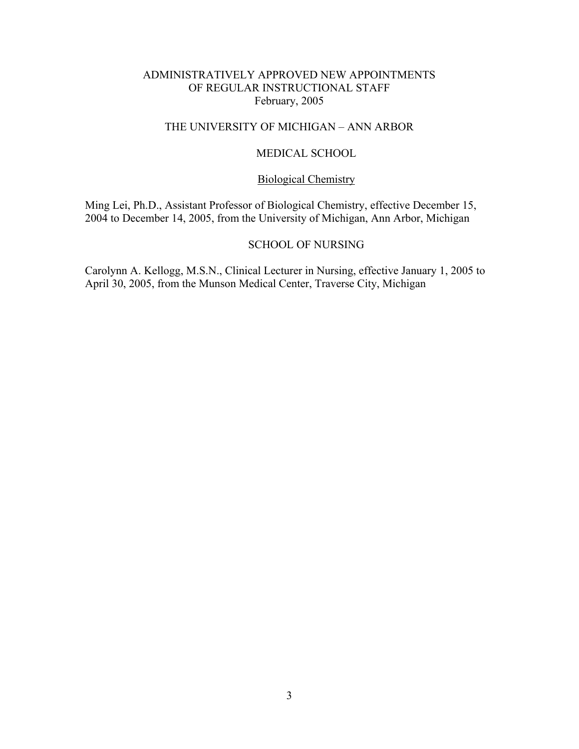# THE UNIVERSITY OF MICHIGAN – ANN ARBOR

### MEDICAL SCHOOL

# Biological Chemistry

Ming Lei, Ph.D., Assistant Professor of Biological Chemistry, effective December 15, 2004 to December 14, 2005, from the University of Michigan, Ann Arbor, Michigan

### SCHOOL OF NURSING

Carolynn A. Kellogg, M.S.N., Clinical Lecturer in Nursing, effective January 1, 2005 to April 30, 2005, from the Munson Medical Center, Traverse City, Michigan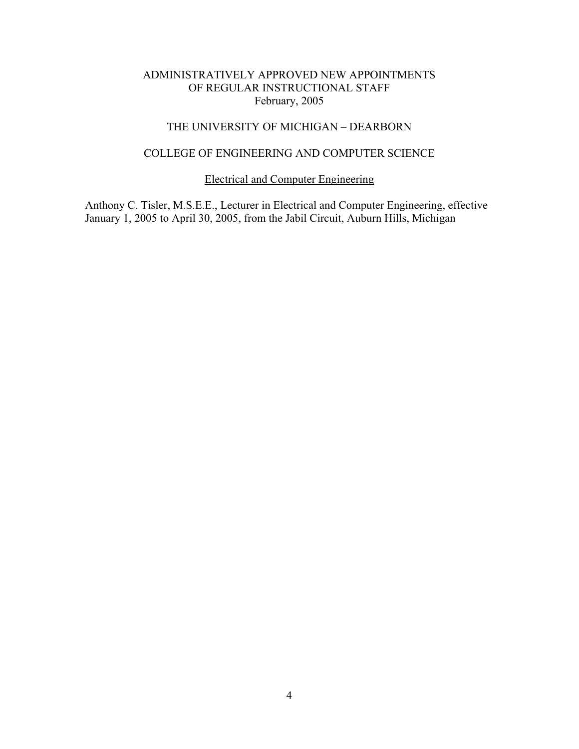# THE UNIVERSITY OF MICHIGAN – DEARBORN

# COLLEGE OF ENGINEERING AND COMPUTER SCIENCE

# Electrical and Computer Engineering

Anthony C. Tisler, M.S.E.E., Lecturer in Electrical and Computer Engineering, effective January 1, 2005 to April 30, 2005, from the Jabil Circuit, Auburn Hills, Michigan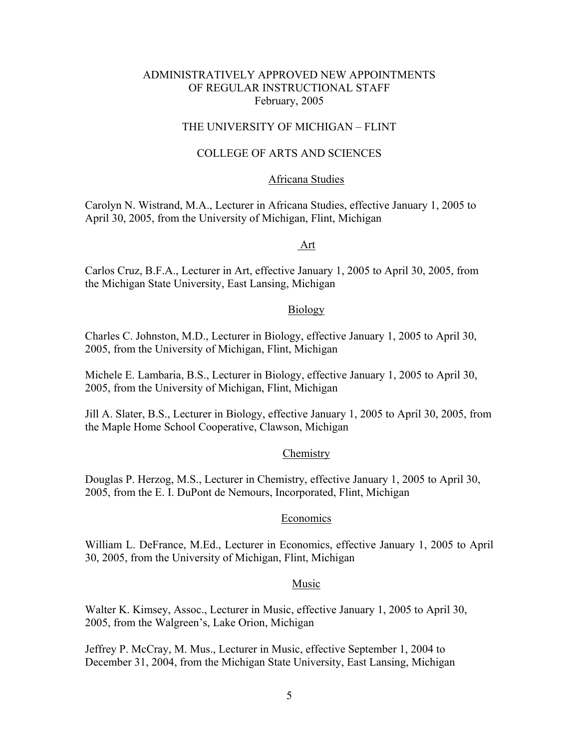# THE UNIVERSITY OF MICHIGAN – FLINT

### COLLEGE OF ARTS AND SCIENCES

#### Africana Studies

Carolyn N. Wistrand, M.A., Lecturer in Africana Studies, effective January 1, 2005 to April 30, 2005, from the University of Michigan, Flint, Michigan

#### Art

Carlos Cruz, B.F.A., Lecturer in Art, effective January 1, 2005 to April 30, 2005, from the Michigan State University, East Lansing, Michigan

#### Biology

Charles C. Johnston, M.D., Lecturer in Biology, effective January 1, 2005 to April 30, 2005, from the University of Michigan, Flint, Michigan

Michele E. Lambaria, B.S., Lecturer in Biology, effective January 1, 2005 to April 30, 2005, from the University of Michigan, Flint, Michigan

Jill A. Slater, B.S., Lecturer in Biology, effective January 1, 2005 to April 30, 2005, from the Maple Home School Cooperative, Clawson, Michigan

#### **Chemistry**

Douglas P. Herzog, M.S., Lecturer in Chemistry, effective January 1, 2005 to April 30, 2005, from the E. I. DuPont de Nemours, Incorporated, Flint, Michigan

#### Economics

William L. DeFrance, M.Ed., Lecturer in Economics, effective January 1, 2005 to April 30, 2005, from the University of Michigan, Flint, Michigan

#### Music

Walter K. Kimsey, Assoc., Lecturer in Music, effective January 1, 2005 to April 30, 2005, from the Walgreen's, Lake Orion, Michigan

Jeffrey P. McCray, M. Mus., Lecturer in Music, effective September 1, 2004 to December 31, 2004, from the Michigan State University, East Lansing, Michigan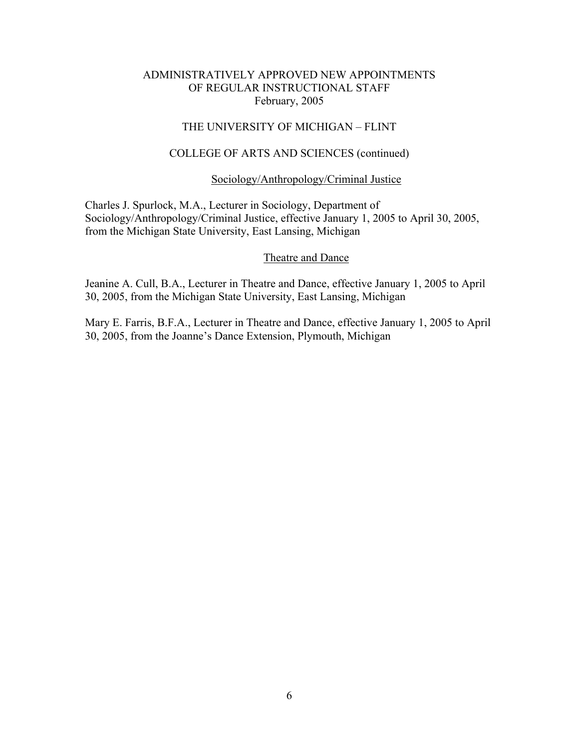## THE UNIVERSITY OF MICHIGAN – FLINT

### COLLEGE OF ARTS AND SCIENCES (continued)

### Sociology/Anthropology/Criminal Justice

Charles J. Spurlock, M.A., Lecturer in Sociology, Department of Sociology/Anthropology/Criminal Justice, effective January 1, 2005 to April 30, 2005, from the Michigan State University, East Lansing, Michigan

#### Theatre and Dance

Jeanine A. Cull, B.A., Lecturer in Theatre and Dance, effective January 1, 2005 to April 30, 2005, from the Michigan State University, East Lansing, Michigan

Mary E. Farris, B.F.A., Lecturer in Theatre and Dance, effective January 1, 2005 to April 30, 2005, from the Joanne's Dance Extension, Plymouth, Michigan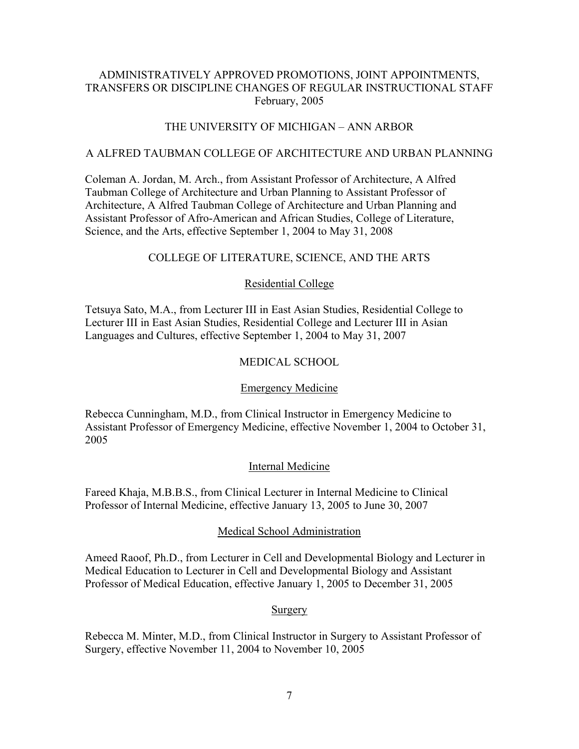# ADMINISTRATIVELY APPROVED PROMOTIONS, JOINT APPOINTMENTS, TRANSFERS OR DISCIPLINE CHANGES OF REGULAR INSTRUCTIONAL STAFF February, 2005

# THE UNIVERSITY OF MICHIGAN – ANN ARBOR

### A ALFRED TAUBMAN COLLEGE OF ARCHITECTURE AND URBAN PLANNING

Coleman A. Jordan, M. Arch., from Assistant Professor of Architecture, A Alfred Taubman College of Architecture and Urban Planning to Assistant Professor of Architecture, A Alfred Taubman College of Architecture and Urban Planning and Assistant Professor of Afro-American and African Studies, College of Literature, Science, and the Arts, effective September 1, 2004 to May 31, 2008

# COLLEGE OF LITERATURE, SCIENCE, AND THE ARTS

## Residential College

Tetsuya Sato, M.A., from Lecturer III in East Asian Studies, Residential College to Lecturer III in East Asian Studies, Residential College and Lecturer III in Asian Languages and Cultures, effective September 1, 2004 to May 31, 2007

## MEDICAL SCHOOL

## Emergency Medicine

Rebecca Cunningham, M.D., from Clinical Instructor in Emergency Medicine to Assistant Professor of Emergency Medicine, effective November 1, 2004 to October 31, 2005

## Internal Medicine

Fareed Khaja, M.B.B.S., from Clinical Lecturer in Internal Medicine to Clinical Professor of Internal Medicine, effective January 13, 2005 to June 30, 2007

## Medical School Administration

Ameed Raoof, Ph.D., from Lecturer in Cell and Developmental Biology and Lecturer in Medical Education to Lecturer in Cell and Developmental Biology and Assistant Professor of Medical Education, effective January 1, 2005 to December 31, 2005

## Surgery

Rebecca M. Minter, M.D., from Clinical Instructor in Surgery to Assistant Professor of Surgery, effective November 11, 2004 to November 10, 2005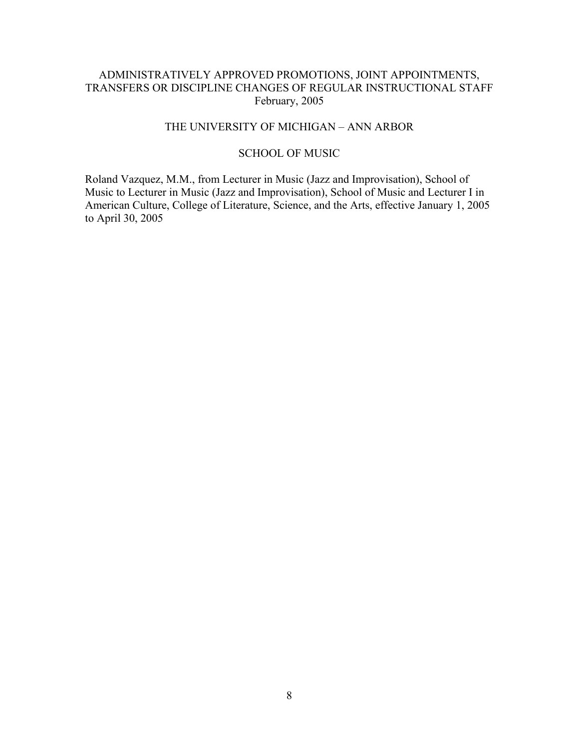# ADMINISTRATIVELY APPROVED PROMOTIONS, JOINT APPOINTMENTS, TRANSFERS OR DISCIPLINE CHANGES OF REGULAR INSTRUCTIONAL STAFF February, 2005

# THE UNIVERSITY OF MICHIGAN – ANN ARBOR

# SCHOOL OF MUSIC

Roland Vazquez, M.M., from Lecturer in Music (Jazz and Improvisation), School of Music to Lecturer in Music (Jazz and Improvisation), School of Music and Lecturer I in American Culture, College of Literature, Science, and the Arts, effective January 1, 2005 to April 30, 2005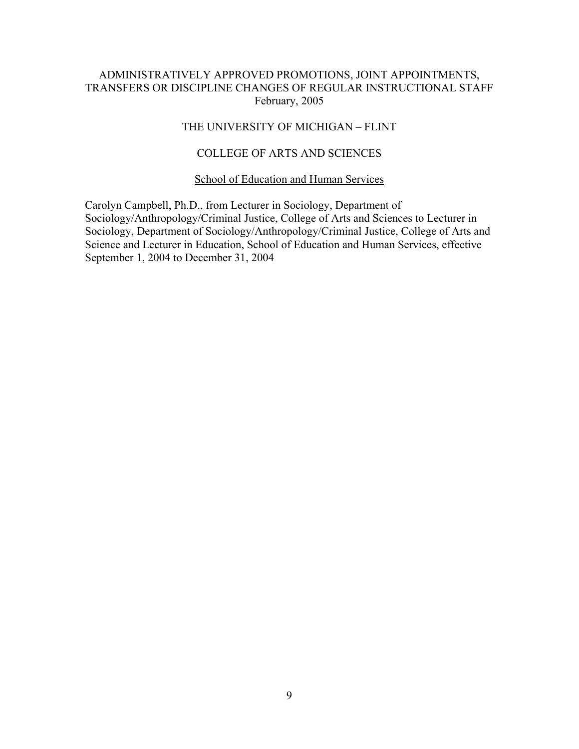# ADMINISTRATIVELY APPROVED PROMOTIONS, JOINT APPOINTMENTS, TRANSFERS OR DISCIPLINE CHANGES OF REGULAR INSTRUCTIONAL STAFF February, 2005

## THE UNIVERSITY OF MICHIGAN – FLINT

# COLLEGE OF ARTS AND SCIENCES

### School of Education and Human Services

Carolyn Campbell, Ph.D., from Lecturer in Sociology, Department of Sociology/Anthropology/Criminal Justice, College of Arts and Sciences to Lecturer in Sociology, Department of Sociology/Anthropology/Criminal Justice, College of Arts and Science and Lecturer in Education, School of Education and Human Services, effective September 1, 2004 to December 31, 2004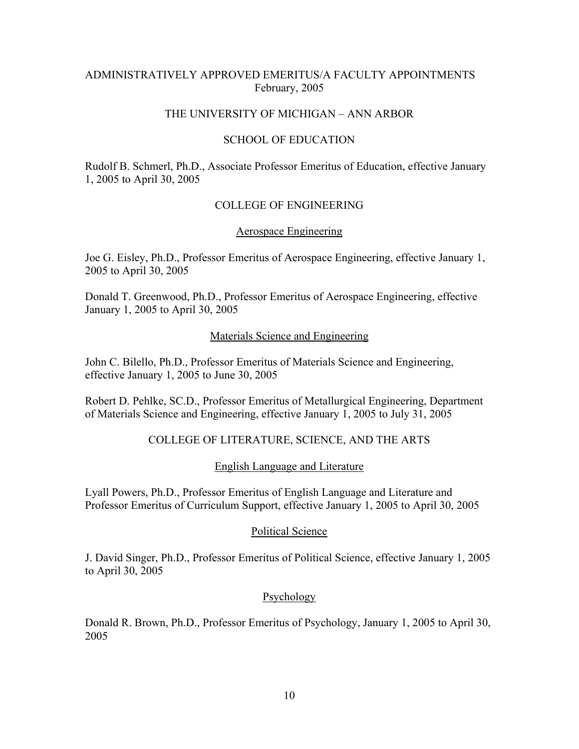# ADMINISTRATIVELY APPROVED EMERITUS/A FACULTY APPOINTMENTS February, 2005

### THE UNIVERSITY OF MICHIGAN – ANN ARBOR

### SCHOOL OF EDUCATION

Rudolf B. Schmerl, Ph.D., Associate Professor Emeritus of Education, effective January 1, 2005 to April 30, 2005

# COLLEGE OF ENGINEERING

### Aerospace Engineering

Joe G. Eisley, Ph.D., Professor Emeritus of Aerospace Engineering, effective January 1, 2005 to April 30, 2005

Donald T. Greenwood, Ph.D., Professor Emeritus of Aerospace Engineering, effective January 1, 2005 to April 30, 2005

#### Materials Science and Engineering

John C. Bilello, Ph.D., Professor Emeritus of Materials Science and Engineering, effective January 1, 2005 to June 30, 2005

Robert D. Pehlke, SC.D., Professor Emeritus of Metallurgical Engineering, Department of Materials Science and Engineering, effective January 1, 2005 to July 31, 2005

## COLLEGE OF LITERATURE, SCIENCE, AND THE ARTS

English Language and Literature

Lyall Powers, Ph.D., Professor Emeritus of English Language and Literature and Professor Emeritus of Curriculum Support, effective January 1, 2005 to April 30, 2005

#### Political Science

J. David Singer, Ph.D., Professor Emeritus of Political Science, effective January 1, 2005 to April 30, 2005

## Psychology

Donald R. Brown, Ph.D., Professor Emeritus of Psychology, January 1, 2005 to April 30, 2005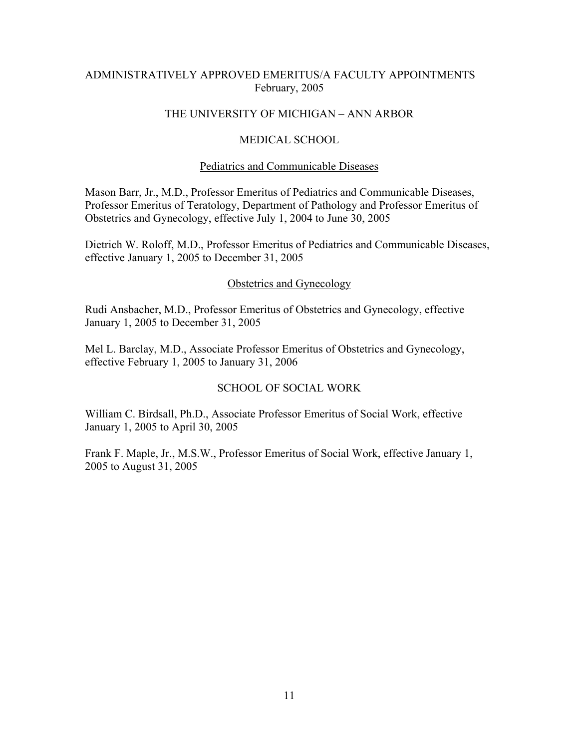# ADMINISTRATIVELY APPROVED EMERITUS/A FACULTY APPOINTMENTS February, 2005

### THE UNIVERSITY OF MICHIGAN – ANN ARBOR

### MEDICAL SCHOOL

#### Pediatrics and Communicable Diseases

Mason Barr, Jr., M.D., Professor Emeritus of Pediatrics and Communicable Diseases, Professor Emeritus of Teratology, Department of Pathology and Professor Emeritus of Obstetrics and Gynecology, effective July 1, 2004 to June 30, 2005

Dietrich W. Roloff, M.D., Professor Emeritus of Pediatrics and Communicable Diseases, effective January 1, 2005 to December 31, 2005

#### Obstetrics and Gynecology

Rudi Ansbacher, M.D., Professor Emeritus of Obstetrics and Gynecology, effective January 1, 2005 to December 31, 2005

Mel L. Barclay, M.D., Associate Professor Emeritus of Obstetrics and Gynecology, effective February 1, 2005 to January 31, 2006

#### SCHOOL OF SOCIAL WORK

William C. Birdsall, Ph.D., Associate Professor Emeritus of Social Work, effective January 1, 2005 to April 30, 2005

Frank F. Maple, Jr., M.S.W., Professor Emeritus of Social Work, effective January 1, 2005 to August 31, 2005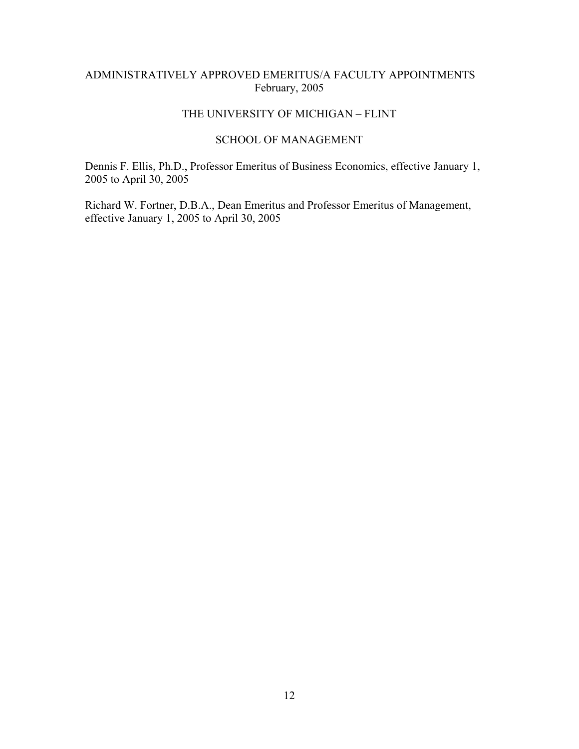# ADMINISTRATIVELY APPROVED EMERITUS/A FACULTY APPOINTMENTS February, 2005

### THE UNIVERSITY OF MICHIGAN – FLINT

### SCHOOL OF MANAGEMENT

Dennis F. Ellis, Ph.D., Professor Emeritus of Business Economics, effective January 1, 2005 to April 30, 2005

Richard W. Fortner, D.B.A., Dean Emeritus and Professor Emeritus of Management, effective January 1, 2005 to April 30, 2005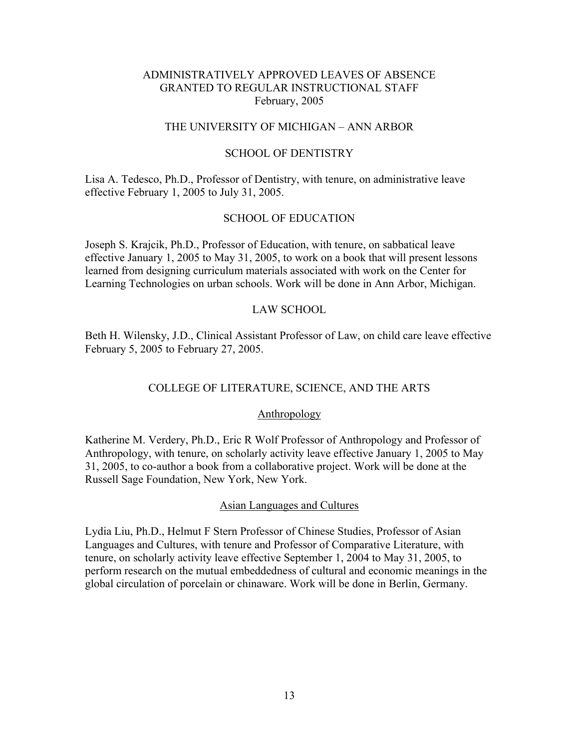### THE UNIVERSITY OF MICHIGAN – ANN ARBOR

#### SCHOOL OF DENTISTRY

Lisa A. Tedesco, Ph.D., Professor of Dentistry, with tenure, on administrative leave effective February 1, 2005 to July 31, 2005.

### SCHOOL OF EDUCATION

Joseph S. Krajcik, Ph.D., Professor of Education, with tenure, on sabbatical leave effective January 1, 2005 to May 31, 2005, to work on a book that will present lessons learned from designing curriculum materials associated with work on the Center for Learning Technologies on urban schools. Work will be done in Ann Arbor, Michigan.

#### LAW SCHOOL

Beth H. Wilensky, J.D., Clinical Assistant Professor of Law, on child care leave effective February 5, 2005 to February 27, 2005.

#### COLLEGE OF LITERATURE, SCIENCE, AND THE ARTS

#### Anthropology

Katherine M. Verdery, Ph.D., Eric R Wolf Professor of Anthropology and Professor of Anthropology, with tenure, on scholarly activity leave effective January 1, 2005 to May 31, 2005, to co-author a book from a collaborative project. Work will be done at the Russell Sage Foundation, New York, New York.

#### Asian Languages and Cultures

Lydia Liu, Ph.D., Helmut F Stern Professor of Chinese Studies, Professor of Asian Languages and Cultures, with tenure and Professor of Comparative Literature, with tenure, on scholarly activity leave effective September 1, 2004 to May 31, 2005, to perform research on the mutual embeddedness of cultural and economic meanings in the global circulation of porcelain or chinaware. Work will be done in Berlin, Germany.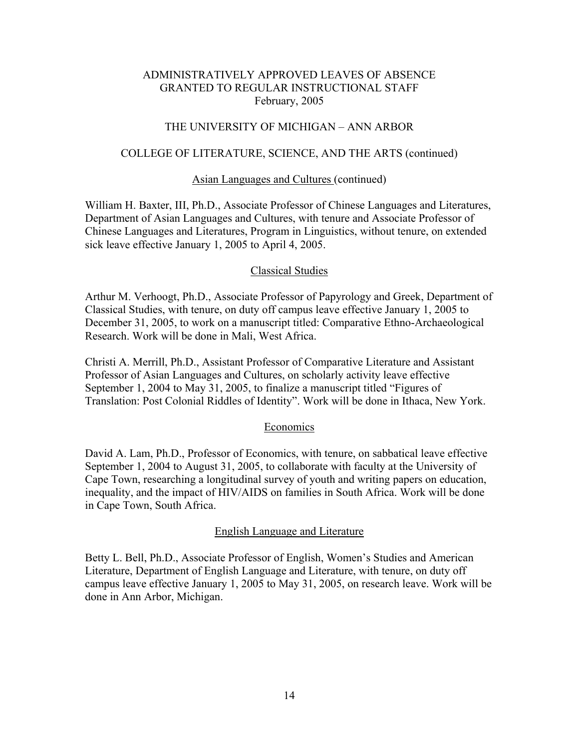# THE UNIVERSITY OF MICHIGAN – ANN ARBOR

#### COLLEGE OF LITERATURE, SCIENCE, AND THE ARTS (continued)

#### Asian Languages and Cultures (continued)

William H. Baxter, III, Ph.D., Associate Professor of Chinese Languages and Literatures, Department of Asian Languages and Cultures, with tenure and Associate Professor of Chinese Languages and Literatures, Program in Linguistics, without tenure, on extended sick leave effective January 1, 2005 to April 4, 2005.

#### Classical Studies

Arthur M. Verhoogt, Ph.D., Associate Professor of Papyrology and Greek, Department of Classical Studies, with tenure, on duty off campus leave effective January 1, 2005 to December 31, 2005, to work on a manuscript titled: Comparative Ethno-Archaeological Research. Work will be done in Mali, West Africa.

Christi A. Merrill, Ph.D., Assistant Professor of Comparative Literature and Assistant Professor of Asian Languages and Cultures, on scholarly activity leave effective September 1, 2004 to May 31, 2005, to finalize a manuscript titled "Figures of Translation: Post Colonial Riddles of Identity". Work will be done in Ithaca, New York.

#### Economics

David A. Lam, Ph.D., Professor of Economics, with tenure, on sabbatical leave effective September 1, 2004 to August 31, 2005, to collaborate with faculty at the University of Cape Town, researching a longitudinal survey of youth and writing papers on education, inequality, and the impact of HIV/AIDS on families in South Africa. Work will be done in Cape Town, South Africa.

#### English Language and Literature

Betty L. Bell, Ph.D., Associate Professor of English, Women's Studies and American Literature, Department of English Language and Literature, with tenure, on duty off campus leave effective January 1, 2005 to May 31, 2005, on research leave. Work will be done in Ann Arbor, Michigan.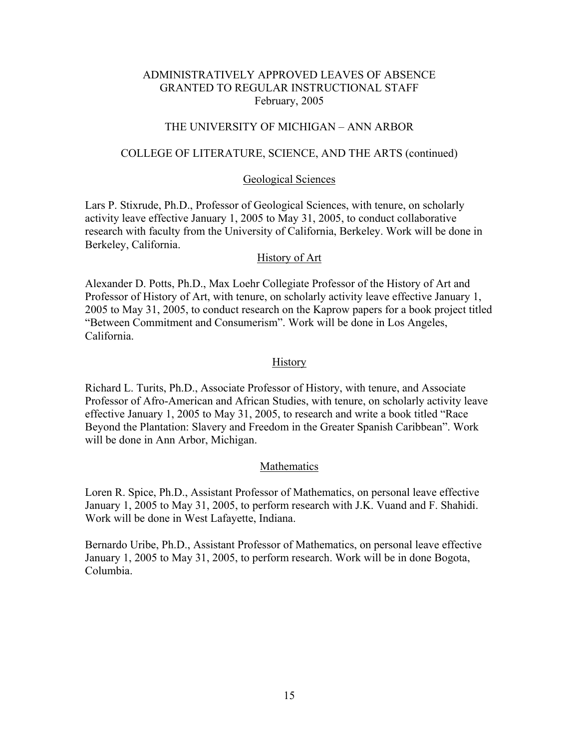# THE UNIVERSITY OF MICHIGAN – ANN ARBOR

#### COLLEGE OF LITERATURE, SCIENCE, AND THE ARTS (continued)

#### Geological Sciences

Lars P. Stixrude, Ph.D., Professor of Geological Sciences, with tenure, on scholarly activity leave effective January 1, 2005 to May 31, 2005, to conduct collaborative research with faculty from the University of California, Berkeley. Work will be done in Berkeley, California.

#### History of Art

Alexander D. Potts, Ph.D., Max Loehr Collegiate Professor of the History of Art and Professor of History of Art, with tenure, on scholarly activity leave effective January 1, 2005 to May 31, 2005, to conduct research on the Kaprow papers for a book project titled "Between Commitment and Consumerism". Work will be done in Los Angeles, California.

#### **History**

Richard L. Turits, Ph.D., Associate Professor of History, with tenure, and Associate Professor of Afro-American and African Studies, with tenure, on scholarly activity leave effective January 1, 2005 to May 31, 2005, to research and write a book titled "Race Beyond the Plantation: Slavery and Freedom in the Greater Spanish Caribbean". Work will be done in Ann Arbor, Michigan.

#### Mathematics

Loren R. Spice, Ph.D., Assistant Professor of Mathematics, on personal leave effective January 1, 2005 to May 31, 2005, to perform research with J.K. Vuand and F. Shahidi. Work will be done in West Lafayette, Indiana.

Bernardo Uribe, Ph.D., Assistant Professor of Mathematics, on personal leave effective January 1, 2005 to May 31, 2005, to perform research. Work will be in done Bogota, Columbia.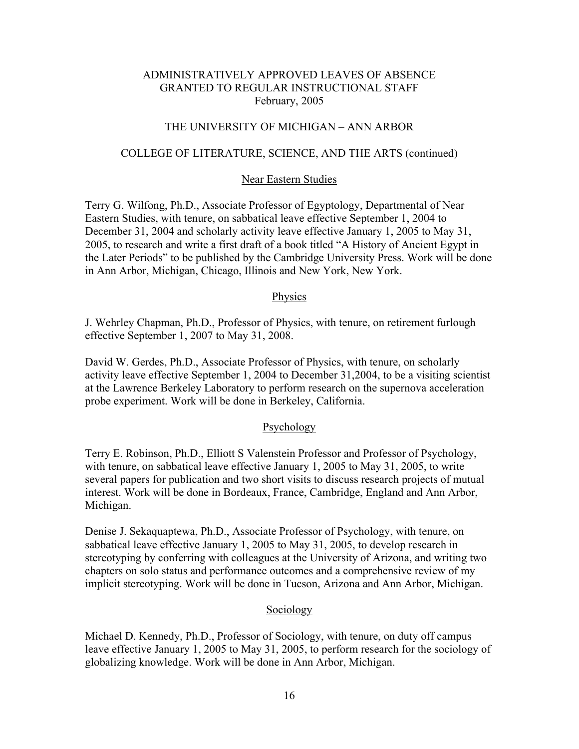### THE UNIVERSITY OF MICHIGAN – ANN ARBOR

#### COLLEGE OF LITERATURE, SCIENCE, AND THE ARTS (continued)

#### Near Eastern Studies

Terry G. Wilfong, Ph.D., Associate Professor of Egyptology, Departmental of Near Eastern Studies, with tenure, on sabbatical leave effective September 1, 2004 to December 31, 2004 and scholarly activity leave effective January 1, 2005 to May 31, 2005, to research and write a first draft of a book titled "A History of Ancient Egypt in the Later Periods" to be published by the Cambridge University Press. Work will be done in Ann Arbor, Michigan, Chicago, Illinois and New York, New York.

#### Physics

J. Wehrley Chapman, Ph.D., Professor of Physics, with tenure, on retirement furlough effective September 1, 2007 to May 31, 2008.

David W. Gerdes, Ph.D., Associate Professor of Physics, with tenure, on scholarly activity leave effective September 1, 2004 to December 31,2004, to be a visiting scientist at the Lawrence Berkeley Laboratory to perform research on the supernova acceleration probe experiment. Work will be done in Berkeley, California.

#### Psychology

Terry E. Robinson, Ph.D., Elliott S Valenstein Professor and Professor of Psychology, with tenure, on sabbatical leave effective January 1, 2005 to May 31, 2005, to write several papers for publication and two short visits to discuss research projects of mutual interest. Work will be done in Bordeaux, France, Cambridge, England and Ann Arbor, Michigan.

Denise J. Sekaquaptewa, Ph.D., Associate Professor of Psychology, with tenure, on sabbatical leave effective January 1, 2005 to May 31, 2005, to develop research in stereotyping by conferring with colleagues at the University of Arizona, and writing two chapters on solo status and performance outcomes and a comprehensive review of my implicit stereotyping. Work will be done in Tucson, Arizona and Ann Arbor, Michigan.

#### Sociology

Michael D. Kennedy, Ph.D., Professor of Sociology, with tenure, on duty off campus leave effective January 1, 2005 to May 31, 2005, to perform research for the sociology of globalizing knowledge. Work will be done in Ann Arbor, Michigan.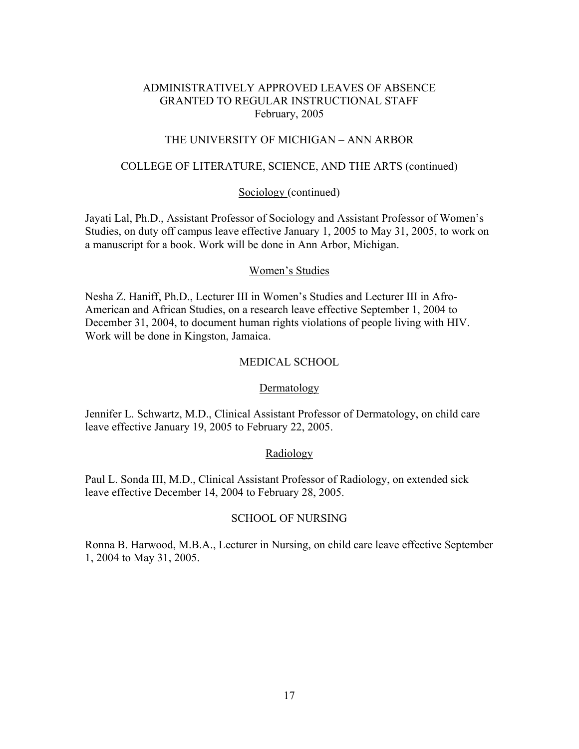## THE UNIVERSITY OF MICHIGAN – ANN ARBOR

## COLLEGE OF LITERATURE, SCIENCE, AND THE ARTS (continued)

### Sociology (continued)

Jayati Lal, Ph.D., Assistant Professor of Sociology and Assistant Professor of Women's Studies, on duty off campus leave effective January 1, 2005 to May 31, 2005, to work on a manuscript for a book. Work will be done in Ann Arbor, Michigan.

#### Women's Studies

Nesha Z. Haniff, Ph.D., Lecturer III in Women's Studies and Lecturer III in Afro-American and African Studies, on a research leave effective September 1, 2004 to December 31, 2004, to document human rights violations of people living with HIV. Work will be done in Kingston, Jamaica.

### MEDICAL SCHOOL

#### Dermatology

Jennifer L. Schwartz, M.D., Clinical Assistant Professor of Dermatology, on child care leave effective January 19, 2005 to February 22, 2005.

#### Radiology

Paul L. Sonda III, M.D., Clinical Assistant Professor of Radiology, on extended sick leave effective December 14, 2004 to February 28, 2005.

#### SCHOOL OF NURSING

Ronna B. Harwood, M.B.A., Lecturer in Nursing, on child care leave effective September 1, 2004 to May 31, 2005.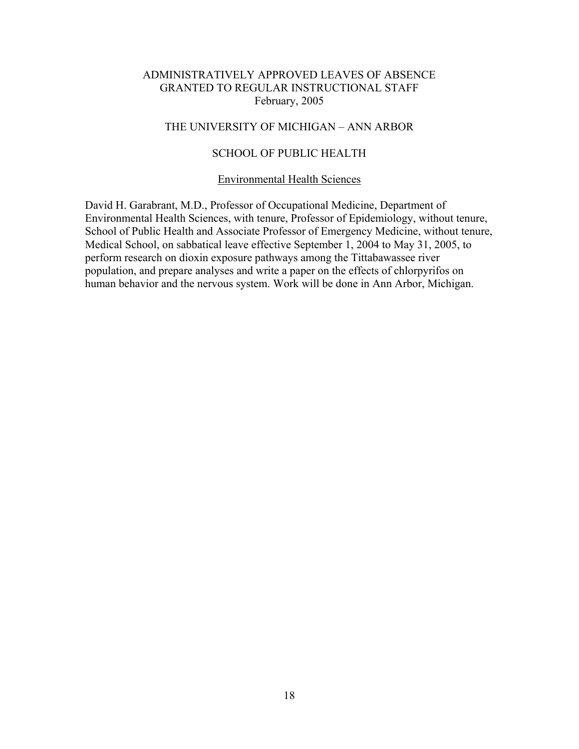## THE UNIVERSITY OF MICHIGAN – ANN ARBOR

# SCHOOL OF PUBLIC HEALTH

#### Environmental Health Sciences

David H. Garabrant, M.D., Professor of Occupational Medicine, Department of Environmental Health Sciences, with tenure, Professor of Epidemiology, without tenure, School of Public Health and Associate Professor of Emergency Medicine, without tenure, Medical School, on sabbatical leave effective September 1, 2004 to May 31, 2005, to perform research on dioxin exposure pathways among the Tittabawassee river population, and prepare analyses and write a paper on the effects of chlorpyrifos on human behavior and the nervous system. Work will be done in Ann Arbor, Michigan.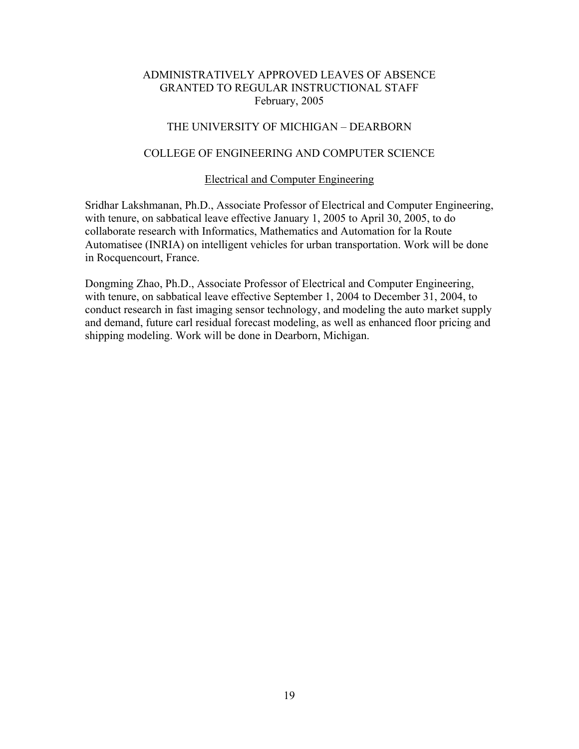## THE UNIVERSITY OF MICHIGAN – DEARBORN

# COLLEGE OF ENGINEERING AND COMPUTER SCIENCE

#### Electrical and Computer Engineering

Sridhar Lakshmanan, Ph.D., Associate Professor of Electrical and Computer Engineering, with tenure, on sabbatical leave effective January 1, 2005 to April 30, 2005, to do collaborate research with Informatics, Mathematics and Automation for la Route Automatisee (INRIA) on intelligent vehicles for urban transportation. Work will be done in Rocquencourt, France.

Dongming Zhao, Ph.D., Associate Professor of Electrical and Computer Engineering, with tenure, on sabbatical leave effective September 1, 2004 to December 31, 2004, to conduct research in fast imaging sensor technology, and modeling the auto market supply and demand, future carl residual forecast modeling, as well as enhanced floor pricing and shipping modeling. Work will be done in Dearborn, Michigan.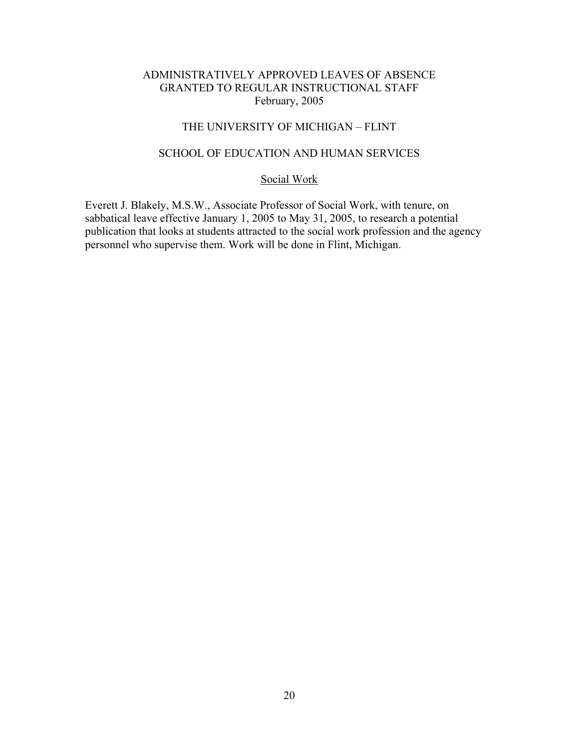# THE UNIVERSITY OF MICHIGAN – FLINT

### SCHOOL OF EDUCATION AND HUMAN SERVICES

# Social Work

Everett J. Blakely, M.S.W., Associate Professor of Social Work, with tenure, on sabbatical leave effective January 1, 2005 to May 31, 2005, to research a potential publication that looks at students attracted to the social work profession and the agency personnel who supervise them. Work will be done in Flint, Michigan.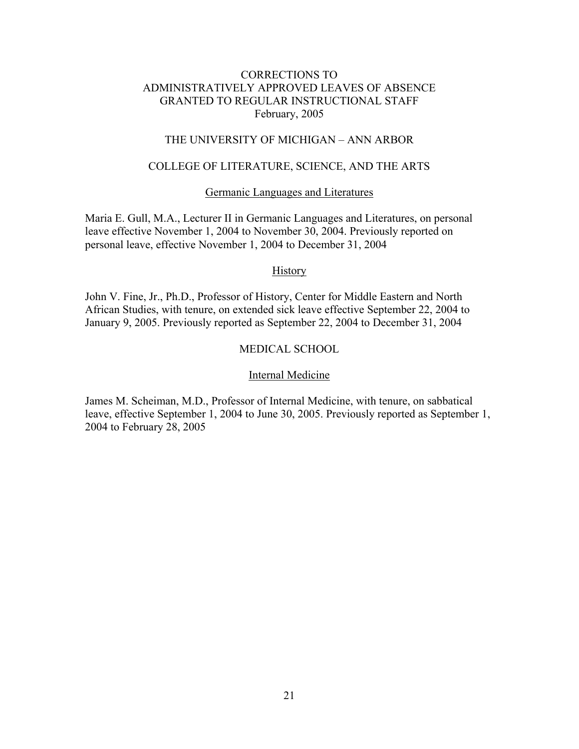# THE UNIVERSITY OF MICHIGAN – ANN ARBOR

# COLLEGE OF LITERATURE, SCIENCE, AND THE ARTS

#### Germanic Languages and Literatures

Maria E. Gull, M.A., Lecturer II in Germanic Languages and Literatures, on personal leave effective November 1, 2004 to November 30, 2004. Previously reported on personal leave, effective November 1, 2004 to December 31, 2004

#### **History**

John V. Fine, Jr., Ph.D., Professor of History, Center for Middle Eastern and North African Studies, with tenure, on extended sick leave effective September 22, 2004 to January 9, 2005. Previously reported as September 22, 2004 to December 31, 2004

# MEDICAL SCHOOL

#### Internal Medicine

James M. Scheiman, M.D., Professor of Internal Medicine, with tenure, on sabbatical leave, effective September 1, 2004 to June 30, 2005. Previously reported as September 1, 2004 to February 28, 2005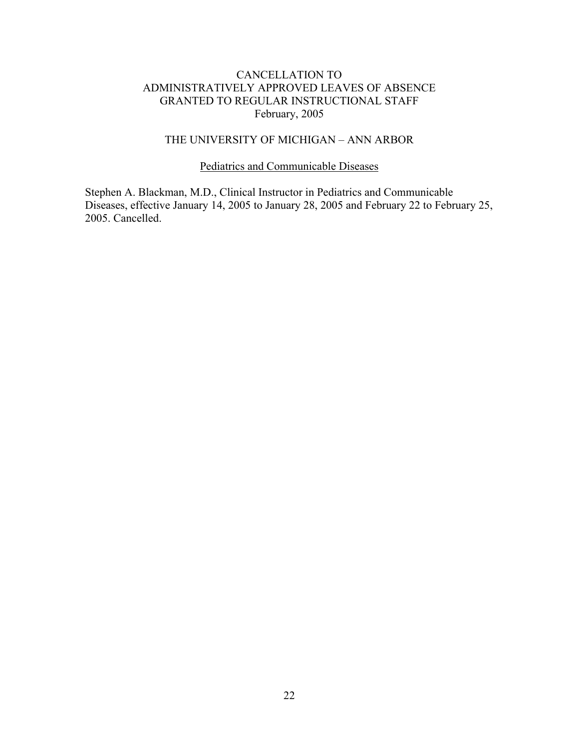## THE UNIVERSITY OF MICHIGAN – ANN ARBOR

## Pediatrics and Communicable Diseases

Stephen A. Blackman, M.D., Clinical Instructor in Pediatrics and Communicable Diseases, effective January 14, 2005 to January 28, 2005 and February 22 to February 25, 2005. Cancelled.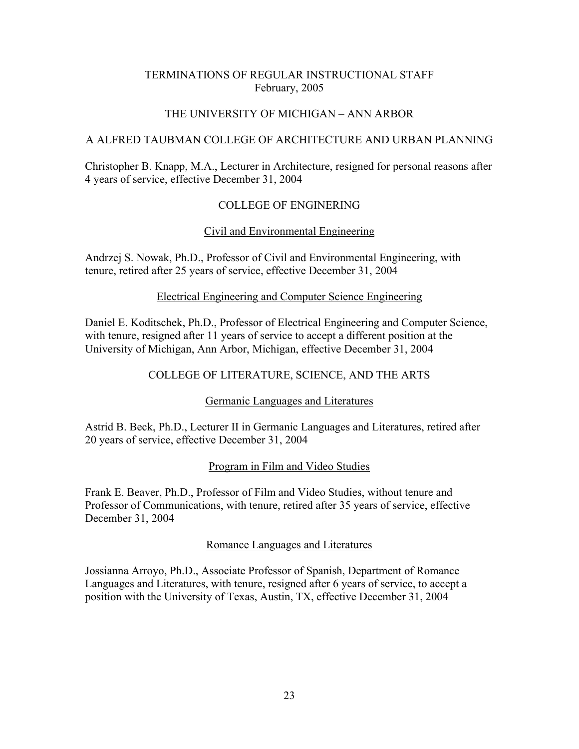# THE UNIVERSITY OF MICHIGAN – ANN ARBOR

# A ALFRED TAUBMAN COLLEGE OF ARCHITECTURE AND URBAN PLANNING

Christopher B. Knapp, M.A., Lecturer in Architecture, resigned for personal reasons after 4 years of service, effective December 31, 2004

# COLLEGE OF ENGINERING

# Civil and Environmental Engineering

Andrzej S. Nowak, Ph.D., Professor of Civil and Environmental Engineering, with tenure, retired after 25 years of service, effective December 31, 2004

## Electrical Engineering and Computer Science Engineering

Daniel E. Koditschek, Ph.D., Professor of Electrical Engineering and Computer Science, with tenure, resigned after 11 years of service to accept a different position at the University of Michigan, Ann Arbor, Michigan, effective December 31, 2004

# COLLEGE OF LITERATURE, SCIENCE, AND THE ARTS

## Germanic Languages and Literatures

Astrid B. Beck, Ph.D., Lecturer II in Germanic Languages and Literatures, retired after 20 years of service, effective December 31, 2004

# Program in Film and Video Studies

Frank E. Beaver, Ph.D., Professor of Film and Video Studies, without tenure and Professor of Communications, with tenure, retired after 35 years of service, effective December 31, 2004

## Romance Languages and Literatures

Jossianna Arroyo, Ph.D., Associate Professor of Spanish, Department of Romance Languages and Literatures, with tenure, resigned after 6 years of service, to accept a position with the University of Texas, Austin, TX, effective December 31, 2004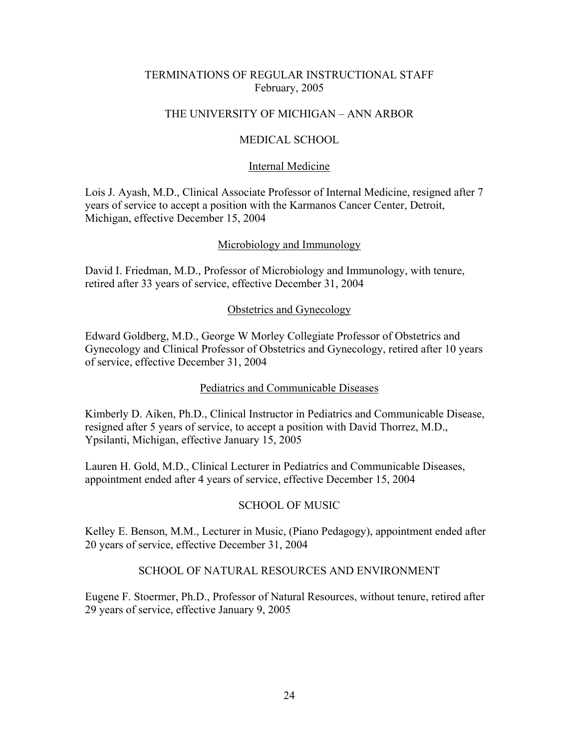# THE UNIVERSITY OF MICHIGAN – ANN ARBOR

# MEDICAL SCHOOL

## Internal Medicine

Lois J. Ayash, M.D., Clinical Associate Professor of Internal Medicine, resigned after 7 years of service to accept a position with the Karmanos Cancer Center, Detroit, Michigan, effective December 15, 2004

## Microbiology and Immunology

David I. Friedman, M.D., Professor of Microbiology and Immunology, with tenure, retired after 33 years of service, effective December 31, 2004

# Obstetrics and Gynecology

Edward Goldberg, M.D., George W Morley Collegiate Professor of Obstetrics and Gynecology and Clinical Professor of Obstetrics and Gynecology, retired after 10 years of service, effective December 31, 2004

# Pediatrics and Communicable Diseases

Kimberly D. Aiken, Ph.D., Clinical Instructor in Pediatrics and Communicable Disease, resigned after 5 years of service, to accept a position with David Thorrez, M.D., Ypsilanti, Michigan, effective January 15, 2005

Lauren H. Gold, M.D., Clinical Lecturer in Pediatrics and Communicable Diseases, appointment ended after 4 years of service, effective December 15, 2004

# SCHOOL OF MUSIC

Kelley E. Benson, M.M., Lecturer in Music, (Piano Pedagogy), appointment ended after 20 years of service, effective December 31, 2004

# SCHOOL OF NATURAL RESOURCES AND ENVIRONMENT

Eugene F. Stoermer, Ph.D., Professor of Natural Resources, without tenure, retired after 29 years of service, effective January 9, 2005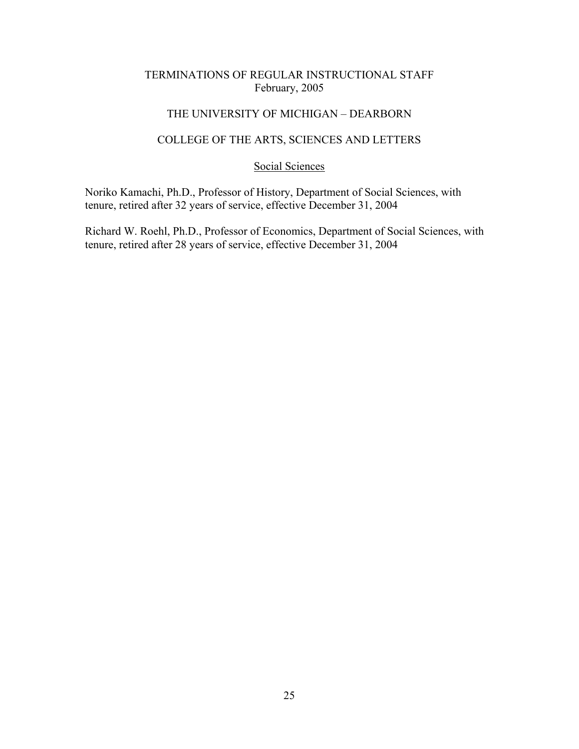# THE UNIVERSITY OF MICHIGAN – DEARBORN

# COLLEGE OF THE ARTS, SCIENCES AND LETTERS

### Social Sciences

Noriko Kamachi, Ph.D., Professor of History, Department of Social Sciences, with tenure, retired after 32 years of service, effective December 31, 2004

Richard W. Roehl, Ph.D., Professor of Economics, Department of Social Sciences, with tenure, retired after 28 years of service, effective December 31, 2004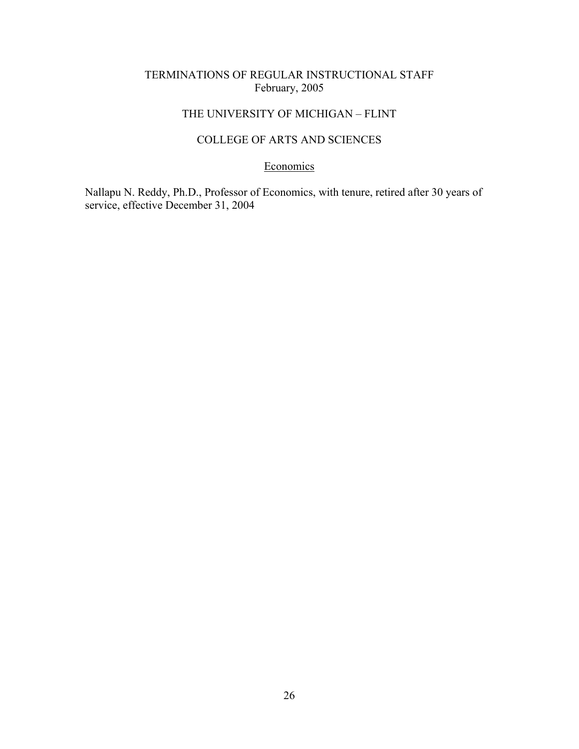# THE UNIVERSITY OF MICHIGAN – FLINT

# COLLEGE OF ARTS AND SCIENCES

### Economics

Nallapu N. Reddy, Ph.D., Professor of Economics, with tenure, retired after 30 years of service, effective December 31, 2004